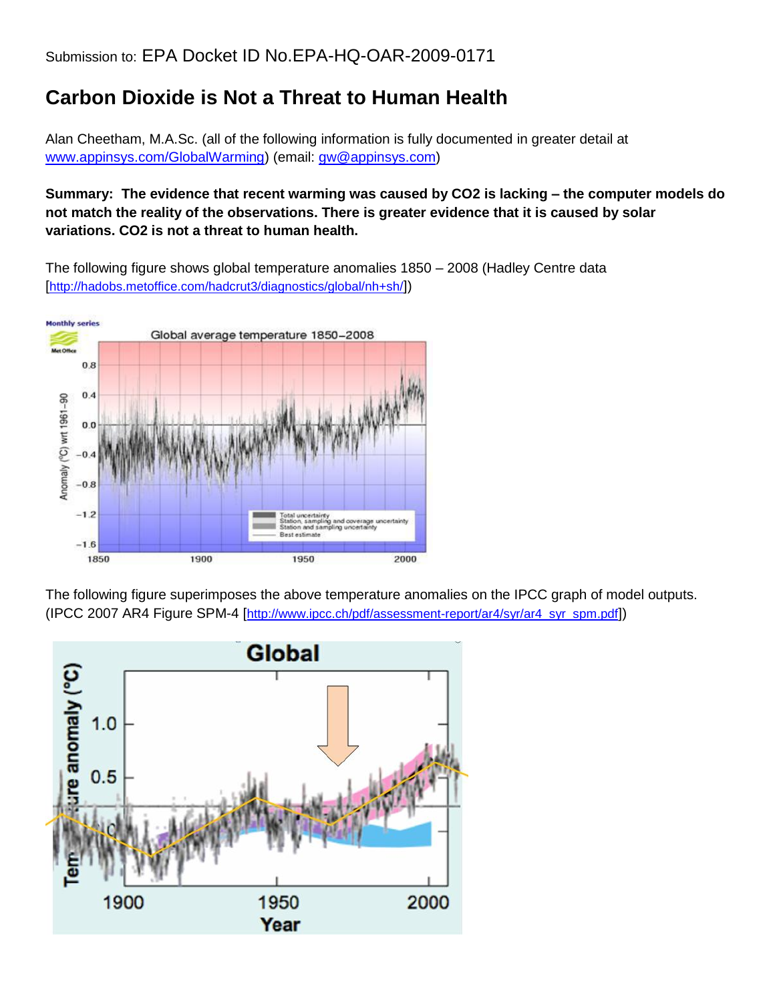## **Carbon Dioxide is Not a Threat to Human Health**

Alan Cheetham, M.A.Sc. (all of the following information is fully documented in greater detail at [www.appinsys.com/GlobalWarming\)](http://www.appinsys.com/GlobalWarming) (email: [gw@appinsys.com\)](mailto:gw@appinsys.com)

## **Summary: The evidence that recent warming was caused by CO2 is lacking – the computer models do not match the reality of the observations. There is greater evidence that it is caused by solar variations. CO2 is not a threat to human health.**

The following figure shows global temperature anomalies 1850 – 2008 (Hadley Centre data [<http://hadobs.metoffice.com/hadcrut3/diagnostics/global/nh+sh/>])



The following figure superimposes the above temperature anomalies on the IPCC graph of model outputs. (IPCC 2007 AR4 Figure SPM-4 [[http://www.ipcc.ch/pdf/assessment-report/ar4/syr/ar4\\_syr\\_spm.pdf](http://www.ipcc.ch/pdf/assessment-report/ar4/syr/ar4_syr_spm.pdf)])

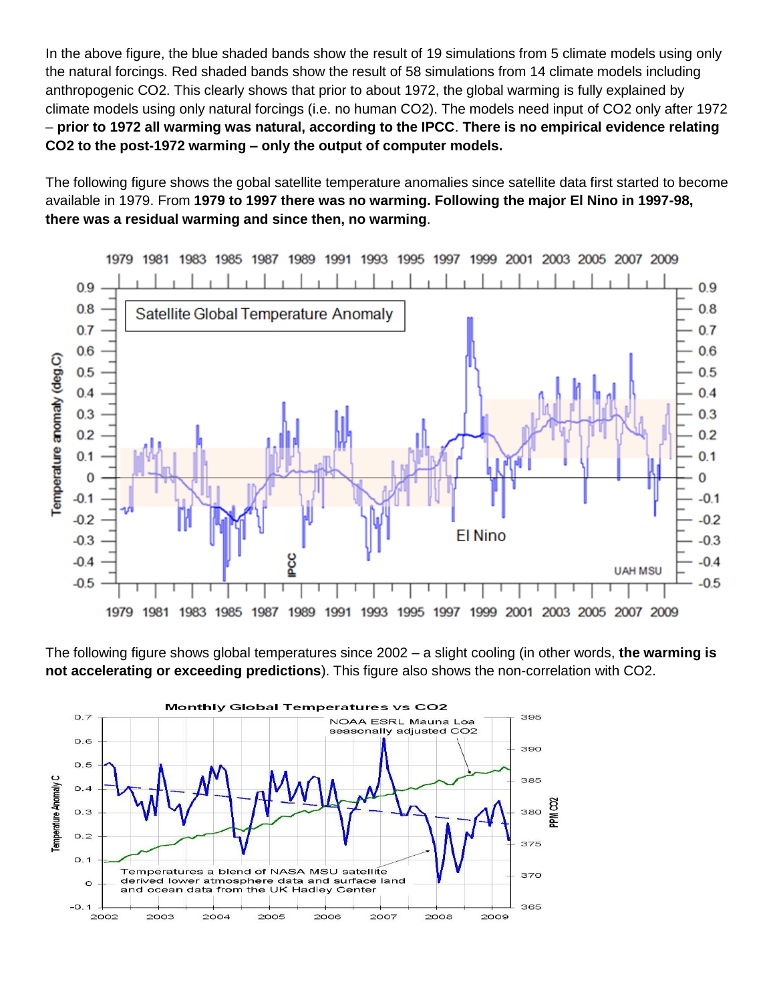In the above figure, the blue shaded bands show the result of 19 simulations from 5 climate models using only the natural forcings. Red shaded bands show the result of 58 simulations from 14 climate models including anthropogenic CO2. This clearly shows that prior to about 1972, the global warming is fully explained by climate models using only natural forcings (i.e. no human CO2). The models need input of CO2 only after 1972 – **prior to 1972 all warming was natural, according to the IPCC**. **There is no empirical evidence relating CO2 to the post-1972 warming – only the output of computer models.**

The following figure shows the gobal satellite temperature anomalies since satellite data first started to become available in 1979. From **1979 to 1997 there was no warming. Following the major El Nino in 1997-98, there was a residual warming and since then, no warming**.



The following figure shows global temperatures since 2002 – a slight cooling (in other words, **the warming is not accelerating or exceeding predictions**). This figure also shows the non-correlation with CO2.

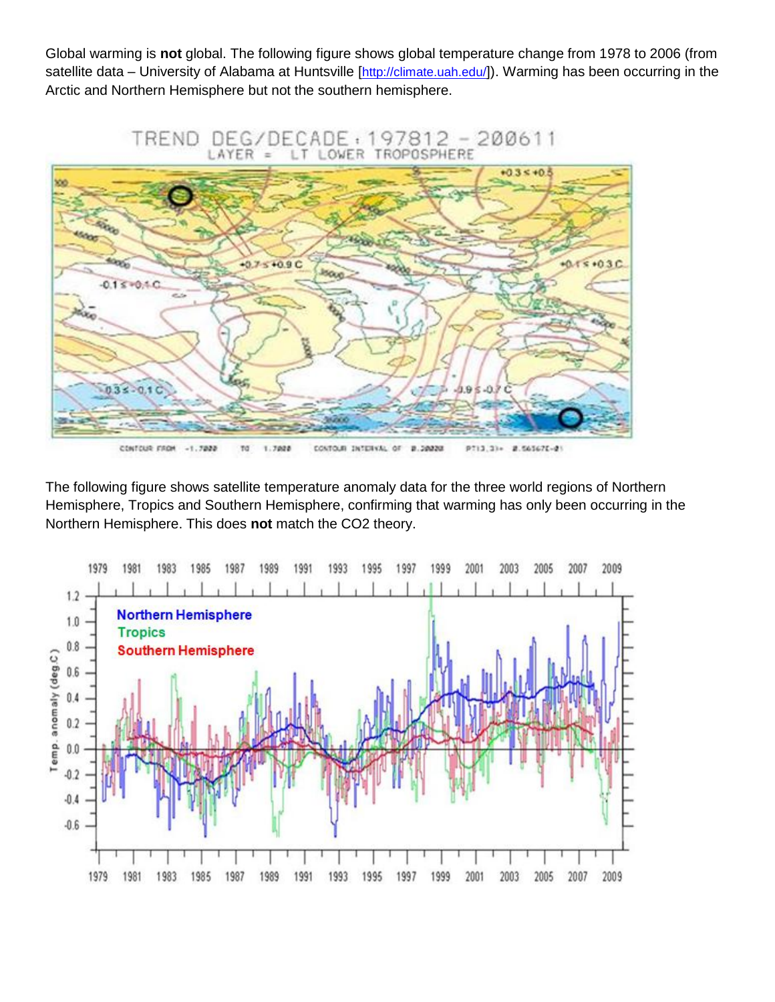Global warming is **not** global. The following figure shows global temperature change from 1978 to 2006 (from satellite data – University of Alabama at Huntsville [<http://climate.uah.edu/>]). Warming has been occurring in the Arctic and Northern Hemisphere but not the southern hemisphere.



The following figure shows satellite temperature anomaly data for the three world regions of Northern Hemisphere, Tropics and Southern Hemisphere, confirming that warming has only been occurring in the Northern Hemisphere. This does **not** match the CO2 theory.

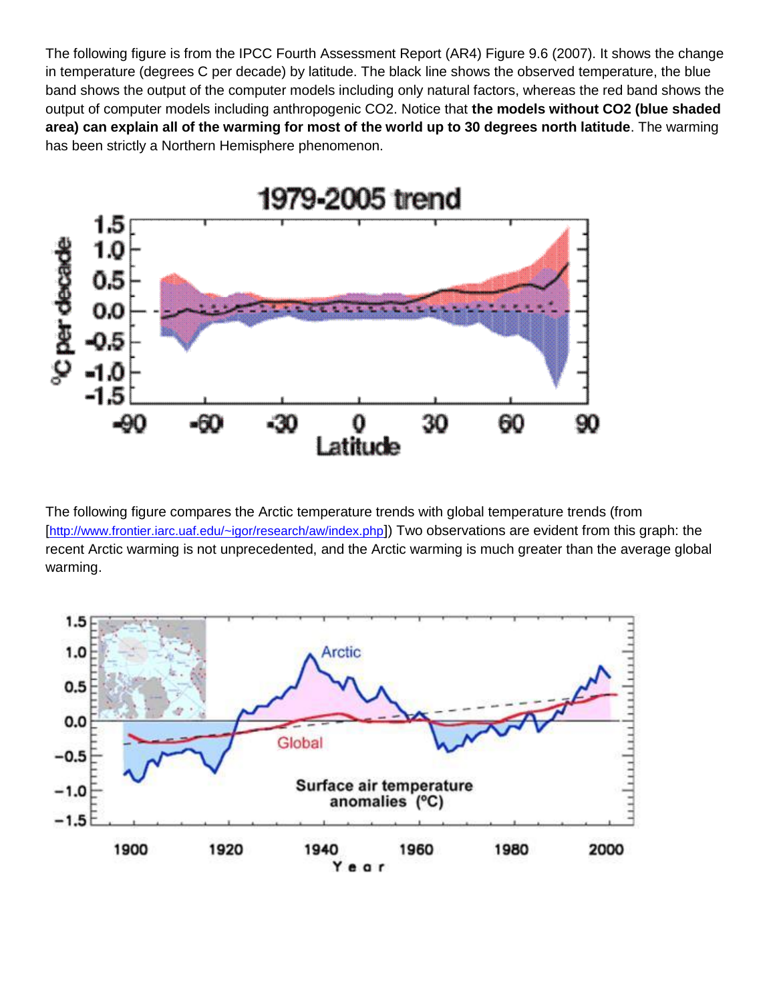The following figure is from the IPCC Fourth Assessment Report (AR4) Figure 9.6 (2007). It shows the change in temperature (degrees C per decade) by latitude. The black line shows the observed temperature, the blue band shows the output of the computer models including only natural factors, whereas the red band shows the output of computer models including anthropogenic CO2. Notice that **the models without CO2 (blue shaded area) can explain all of the warming for most of the world up to 30 degrees north latitude**. The warming has been strictly a Northern Hemisphere phenomenon.



The following figure compares the Arctic temperature trends with global temperature trends (from [<http://www.frontier.iarc.uaf.edu/~igor/research/aw/index.php>]) Two observations are evident from this graph: the recent Arctic warming is not unprecedented, and the Arctic warming is much greater than the average global warming.

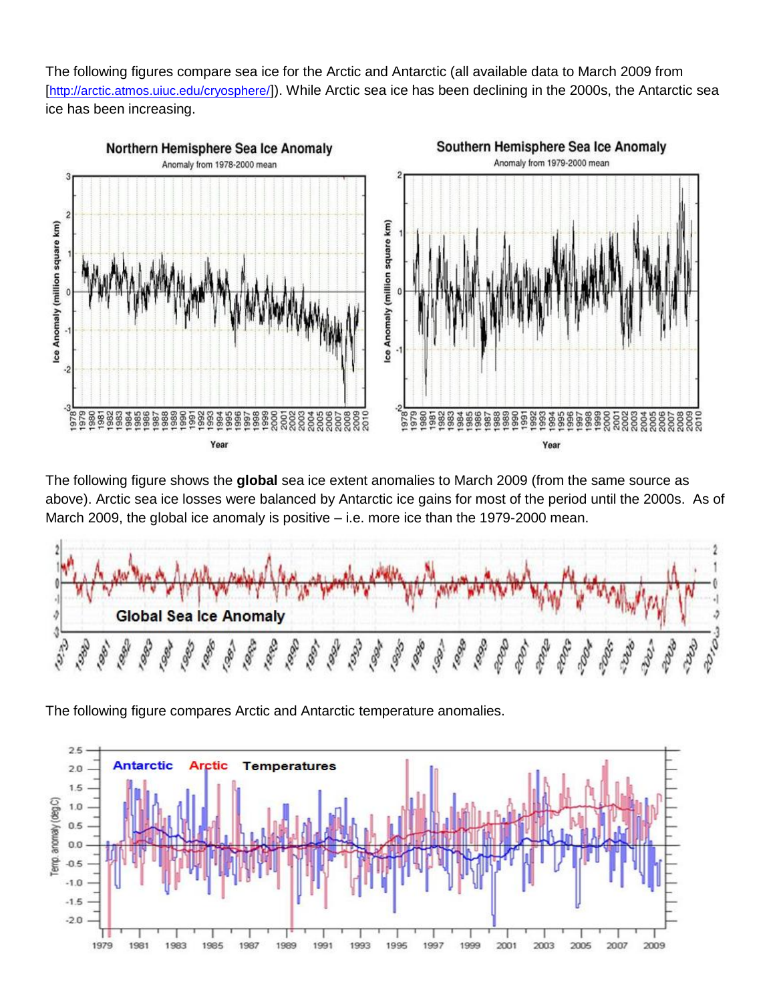The following figures compare sea ice for the Arctic and Antarctic (all available data to March 2009 from [<http://arctic.atmos.uiuc.edu/cryosphere/>]). While Arctic sea ice has been declining in the 2000s, the Antarctic sea ice has been increasing.



The following figure shows the **global** sea ice extent anomalies to March 2009 (from the same source as above). Arctic sea ice losses were balanced by Antarctic ice gains for most of the period until the 2000s. As of March 2009, the global ice anomaly is positive – i.e. more ice than the 1979-2000 mean.



The following figure compares Arctic and Antarctic temperature anomalies.

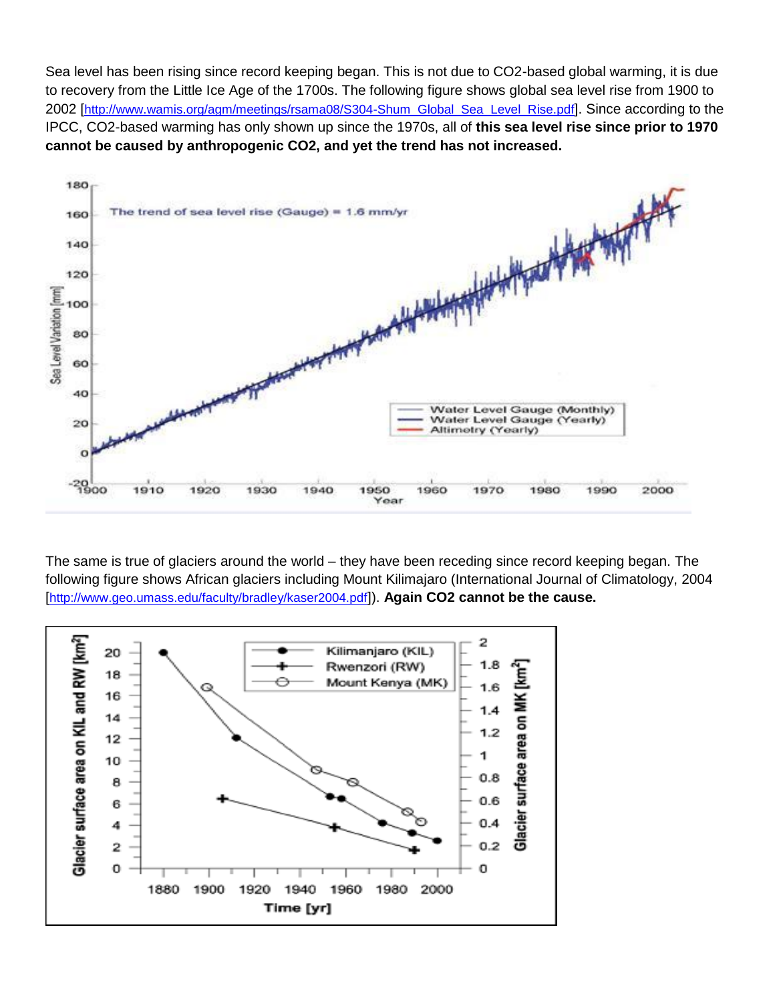Sea level has been rising since record keeping began. This is not due to CO2-based global warming, it is due to recovery from the Little Ice Age of the 1700s. The following figure shows global sea level rise from 1900 to 2002 [[http://www.wamis.org/agm/meetings/rsama08/S304-Shum\\_Global\\_Sea\\_Level\\_Rise.pdf](http://www.wamis.org/agm/meetings/rsama08/S304-Shum_Global_Sea_Level_Rise.pdf)]. Since according to the IPCC, CO2-based warming has only shown up since the 1970s, all of **this sea level rise since prior to 1970 cannot be caused by anthropogenic CO2, and yet the trend has not increased.**



The same is true of glaciers around the world – they have been receding since record keeping began. The following figure shows African glaciers including Mount Kilimajaro (International Journal of Climatology, 2004 [<http://www.geo.umass.edu/faculty/bradley/kaser2004.pdf>]). **Again CO2 cannot be the cause.**

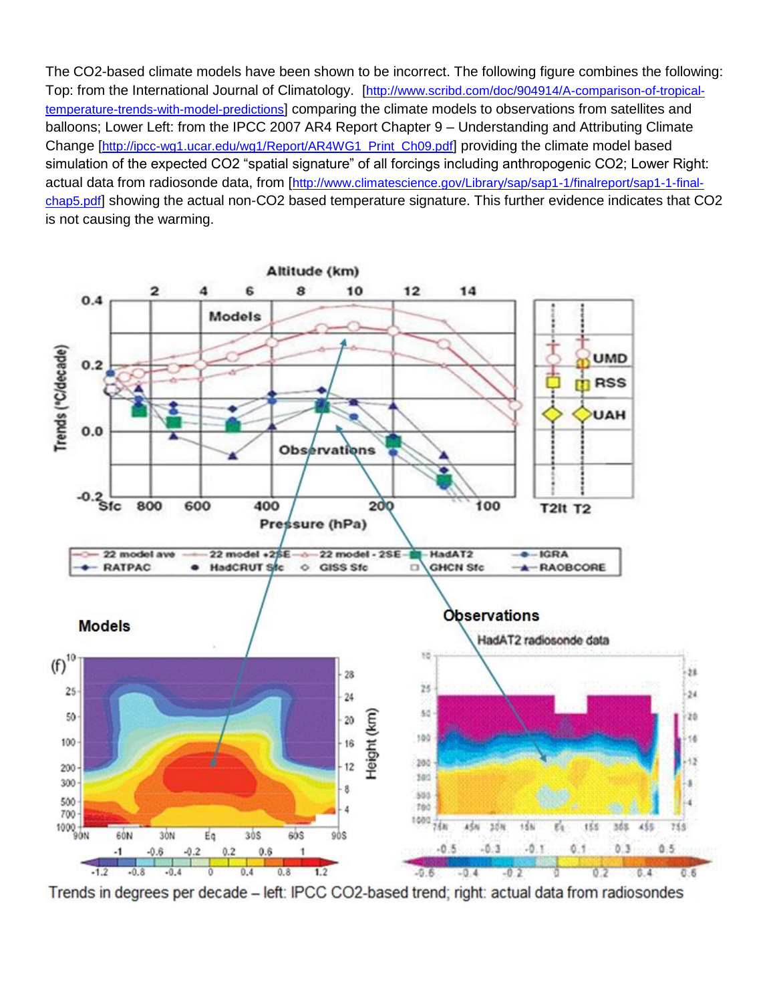The CO2-based climate models have been shown to be incorrect. The following figure combines the following: Top: from the International Journal of Climatology. [[http://www.scribd.com/doc/904914/A-comparison-of-tropical](http://www.scribd.com/doc/904914/A-comparison-of-tropical-temperature-trends-with-model-predictions)[temperature-trends-with-model-predictions](http://www.scribd.com/doc/904914/A-comparison-of-tropical-temperature-trends-with-model-predictions)] comparing the climate models to observations from satellites and balloons; Lower Left: from the IPCC 2007 AR4 Report Chapter 9 – Understanding and Attributing Climate Change [[http://ipcc-wg1.ucar.edu/wg1/Report/AR4WG1\\_Print\\_Ch09.pdf](http://ipcc-wg1.ucar.edu/wg1/Report/AR4WG1_Print_Ch09.pdf)] providing the climate model based simulation of the expected CO2 "spatial signature" of all forcings including anthropogenic CO2; Lower Right: actual data from radiosonde data, from [[http://www.climatescience.gov/Library/sap/sap1-1/finalreport/sap1-1-final](http://www.climatescience.gov/Library/sap/sap1-1/finalreport/sap1-1-final-chap5.pdf)[chap5.pdf](http://www.climatescience.gov/Library/sap/sap1-1/finalreport/sap1-1-final-chap5.pdf)] showing the actual non-CO2 based temperature signature. This further evidence indicates that CO2 is not causing the warming.



Trends in degrees per decade - left: IPCC CO2-based trend; right: actual data from radiosondes